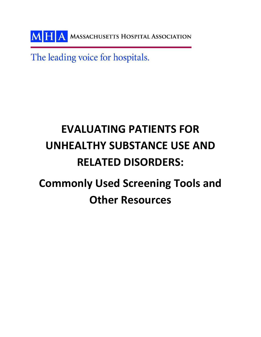MHA MASSACHUSETTS HOSPITAL ASSOCIATION

The leading voice for hospitals.

# **EVALUATING PATIENTS FOR UNHEALTHY SUBSTANCE USE AND RELATED DISORDERS: Commonly Used Screening Tools and Other Resources**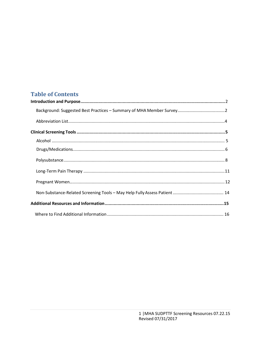## **Table of Contents**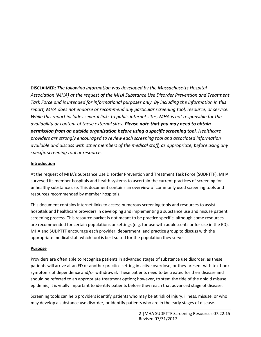**DISCLAIMER:** *The following information was developed by the Massachusetts Hospital Association (MHA) at the request of the MHA Substance Use Disorder Prevention and Treatment Task Force and is intended for informational purposes only. By including the information in this report, MHA does not endorse or recommend any particular screening tool, resource, or service. While this report includes several links to public internet sites, MHA is not responsible for the availability or content of these external sites. Please note that you may need to obtain permission from an outside organization before using a specific screening tool. Healthcare providers are strongly encouraged to review each screening tool and associated information available and discuss with other members of the medical staff, as appropriate, before using any specific screening tool or resource.*

#### **Introduction**

At the request of MHA's Substance Use Disorder Prevention and Treatment Task Force (SUDPTTF), MHA surveyed its member hospitals and health systems to ascertain the current practices of screening for unhealthy substance use. This document contains an overview of commonly used screening tools and resources recommended by member hospitals.

This document contains internet links to access numerous screening tools and resources to assist hospitals and healthcare providers in developing and implementing a substance use and misuse patient screening process. This resource packet is not meant to be practice specific, although some resources are recommended for certain populations or settings (e.g. for use with adolescents or for use in the ED). MHA and SUDPTTF encourage each provider, department, and practice group to discuss with the appropriate medical staff which tool is best suited for the population they serve.

#### **Purpose**

Providers are often able to recognize patients in advanced stages of substance use disorder, as these patients will arrive at an ED or another practice setting in active overdose, or they present with textbook symptoms of dependence and/or withdrawal. These patients need to be treated for their disease and should be referred to an appropriate treatment option; however, to stem the tide of the opioid misuse epidemic, it is vitally important to identify patients before they reach that advanced stage of disease.

Screening tools can help providers identify patients who may be at risk of injury, illness, misuse, or who may develop a substance use disorder, or identify patients who are in the early stages of disease.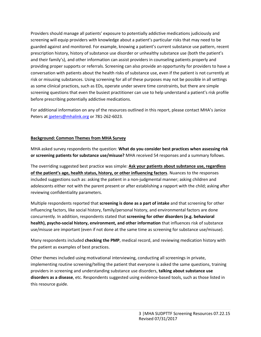Providers should manage all patients' exposure to potentially addictive medications judiciously and screening will equip providers with knowledge about a patient's particular risks that may need to be guarded against and monitored. For example, knowing a patient's current substance use pattern, recent prescription history, history of substance use disorder or unhealthy substance use (both the patient's and their family's), and other information can assist providers in counseling patients properly and providing proper supports or referrals. Screening can also provide an opportunity for providers to have a conversation with patients about the health risks of substance use, even if the patient is not currently at risk or misusing substances. Using screening for all of these purposes may not be possible in all settings as some clinical practices, such as EDs, operate under severe time constraints, but there are simple screening questions that even the busiest practitioner can use to help understand a patient's risk profile before prescribing potentially addictive medications.

For additional information on any of the resources outlined in this report, please contact MHA's Janice Peters at [jpeters@mhalink.org](mailto:jpeters@mhalink.org) or 781-262-6023.

#### **Background: Common Themes from MHA Survey**

MHA asked survey respondents the question: **What do you consider best practices when assessing risk or screening patients for substance use/misuse?** MHA received 54 responses and a summary follows.

The overriding suggested best practice was simple: **Ask your patients about substance use, regardless of the patient's age, health status, history, or other influencing factors**. Nuances to the responses included suggestions such as: asking the patient in a non-judgmental manner; asking children and adolescents either not with the parent present or after establishing a rapport with the child; asking after reviewing confidentiality parameters.

Multiple respondents reported that **screening is done as a part of intake** and that screening for other influencing factors, like social history, family/personal history, and environmental factors are done concurrently. In addition, respondents stated that **screening for other disorders (e.g. behavioral health), psycho-social history, environment, and other information** that influences risk of substance use/misuse are important (even if not done at the same time as screening for substance use/misuse).

Many respondents included **checking the PMP**, medical record, and reviewing medication history with the patient as examples of best practices.

Other themes included using motivational interviewing, conducting all screenings in private, implementing routine screening/telling the patient that everyone is asked the same questions, training providers in screening and understanding substance use disorders, **talking about substance use disorders as a disease**, etc. Respondents suggested using evidence-based tools, such as those listed in this resource guide.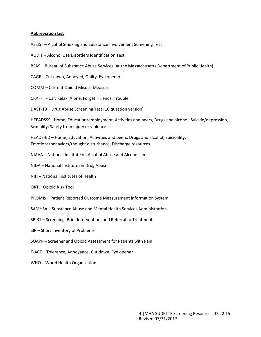#### <span id="page-4-0"></span>**Abbreviation List**

ASSIST – Alcohol Smoking and Substance Involvement Screening Test

AUDIT – Alcohol Use Disorders Identification Test

- BSAS Bureau of Substance Abuse Services (at the Massachusetts Department of Public Health)
- CAGE Cut down, Annoyed, Guilty, Eye opener
- COMM Current Opioid Misuse Measure
- CRAFFT Car, Relax, Alone, Forget, Friends, Trouble

DAST-10 – Drug Abuse Screening Test (10 question version)

HEEADSSS - Home, Education/employment, Activities and peers, Drugs and alcohol, Suicide/depression, Sexuality, Safety from injury or violence

HEADS-ED – Home, Education, Activities and peers, Drugs and alcohol, Suicidality, Emotions/behaviors/thought disturbance, Discharge resources

- NIAAA National Institute on Alcohol Abuse and Alcoholism
- NIDA National Institute on Drug Abuse
- NIH National Institutes of Health
- ORT Opioid Risk Tool
- PROMIS Patient Reported Outcome Measurement Information System
- SAMHSA Substance Abuse and Mental Health Services Administration
- SBIRT Screening, Brief Intervention, and Referral to Treatment
- SIP Short Inventory of Problems
- SOAPP Screener and Opioid Assessment for Patients with Pain
- T-ACE Tolerance, Annoyance, Cut down, Eye opener
- WHO World Health Organization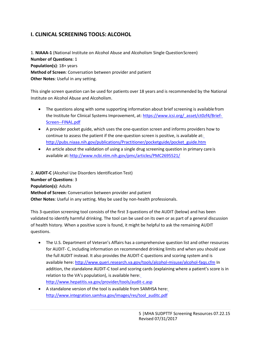## **I. CLINICAL SCREENING TOOLS: ALCOHOL**

1. **NIAAA-1** (National Institute on Alcohol Abuse and Alcoholism Single QuestionScreen) **Number of Questions**: 1 **Population(s)**: 18+ years **Method of Screen**: Conversation between provider and patient **Other Notes**: Useful in any setting.

This single screen question can be used for patients over 18 years and is recommended by the National Institute on Alcohol Abuse and Alcoholism.

- The questions along with some supporting information about brief screening is availablefrom the Institute for Clinical Systems Improvement, at: [https://www.icsi.org/\\_asset/ct0zf4/Brief-](https://www.icsi.org/_asset/ct0zf4/Brief-Screen--FINAL.pdf)[Screen--FINAL.pdf](https://www.icsi.org/_asset/ct0zf4/Brief-Screen--FINAL.pdf)
- A provider pocket guide, which uses the one-question screen and informs providers how to continue to assess the patient if the one-question screen is positive, is available at[:](http://pubs.niaaa.nih.gov/publications/Practitioner/pocketguide/pocket_guide.htm) [http://pubs.niaaa.nih.gov/publications/Practitioner/pocketguide/pocket\\_guide.htm](http://pubs.niaaa.nih.gov/publications/Practitioner/pocketguide/pocket_guide.htm)
- An article about the validation of using a single drug screening question in primary careis available at[:http://www.ncbi.nlm.nih.gov/pmc/articles/PMC2695521/](http://www.ncbi.nlm.nih.gov/pmc/articles/PMC2695521/)

2. **AUDIT-C** (Alcohol Use Disorders Identification Test) **Number of Questions**: 3 **Population(s)**: Adults **Method of Screen**: Conversation between provider and patient **Other Notes**: Useful in any setting. May be used by non-health professionals.

This 3-question screening tool consists of the first 3 questions of the AUDIT (below) and has been validated to identify harmful drinking. The tool can be used on its own or as part of a general discussion of health history. When a positive score is found, it might be helpful to ask the remaining AUDIT questions.

- The U.S. Department of Veteran's Affairs has a comprehensive question list and other resources for AUDIT- C, including information on recommended drinking limits and when you should use the full AUDIT instead. It also provides the AUDIT-C questions and scoring system and is available here: <http://www.queri.research.va.gov/tools/alcohol-misuse/alcohol-faqs.cfm> In addition, the standalone AUDIT-C tool and scoring cards (explaining where a patient's score is in relation to the VA's population), is available here[:](http://www.hepatitis.va.gov/provider/tools/audit-c.asp) <http://www.hepatitis.va.gov/provider/tools/audit-c.asp>
- A standalone version of the tool is available from SAMHSA here[:](http://www.integration.samhsa.gov/images/res/tool_auditc.pdf) [http://www.integration.samhsa.gov/images/res/tool\\_auditc.pdf](http://www.integration.samhsa.gov/images/res/tool_auditc.pdf)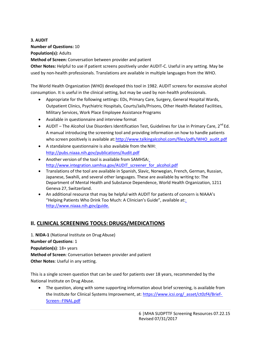## **3. AUDIT Number of Questions:** 10 **Population(s):** Adults

**Method of Screen:** Conversation between provider and patient

**Other Notes:** Helpful to use if patient screens positively under AUDIT-C. Useful in any setting. May be used by non-health professionals. Translations are available in multiple languages from the WHO.

The World Health Organization (WHO) developed this tool in 1982. AUDIT screens for excessive alcohol consumption. It is useful in the clinical setting, but may be used by non-health professionals.

- Appropriate for the following settings: EDs, Primary Care, Surgery, General Hospital Wards, Outpatient Clinics, Psychiatric Hospitals, Courts/Jails/Prisons, Other Health-Related Facilities, Military Services, Work Place Employee Assistance Programs
- Available in questionnaire and interview format
- AUDIT The Alcohol Use Disorders Identification Test, Guidelines for Use in Primary Care,  $2^{nd}$  Ed. A manual introducing the screening tool and providing information on how to handle patients who screen positively is available at[:http://www.talkingalcohol.com/files/pdfs/WHO\\_audit.pdf](http://www.talkingalcohol.com/files/pdfs/WHO_audit.pdf)
- A standalone questionnaire is also available from theNIH[:](http://pubs.niaaa.nih.gov/publications/Audit.pdf) <http://pubs.niaaa.nih.gov/publications/Audit.pdf>
- Another version of the tool is available from SAMHSA[:](http://www.integration.samhsa.gov/AUDIT_screener_for_alcohol.pdf) [http://www.integration.samhsa.gov/AUDIT\\_screener\\_for\\_alcohol.pdf](http://www.integration.samhsa.gov/AUDIT_screener_for_alcohol.pdf)
- Translations of the tool are available in Spanish, Slavic, Norwegian, French, German, Russian, Japanese, Swahili, and several other languages. These are available by writing to: The Department of Mental Health and Substance Dependence, World Health Organization, 1211 Geneva 27, Switzerland.
- An additional resource that may be helpful with AUDIT for patients of concern is NIAAA's "Helping Patients Who Drink Too Much[:](http://www.niaaa.nih.gov/guide) A Clinician's Guide", available at: [http://www.niaaa.nih.gov/guide.](http://www.niaaa.nih.gov/guide)

## **II. CLINICAL SCREENING TOOLS: DRUGS/MEDICATIONS**

1. **NIDA-1** (National Institute on Drug Abuse) **Number of Questions**: 1 **Population(s)**: 18+ years **Method of Screen**: Conversation between provider and patient **Other Notes**: Useful in any setting.

This is a single screen question that can be used for patients over 18 years, recommended by the National Institute on Drug Abuse.

• The question, along with some supporting information about brief screening, is available from the Institute for Clinical Systems Improvement, at: [https://www.icsi.org/\\_asset/ct0zf4/Brief-](https://www.icsi.org/_asset/ct0zf4/Brief-Screen--FINAL.pdf)[Screen--FINAL.pdf](https://www.icsi.org/_asset/ct0zf4/Brief-Screen--FINAL.pdf)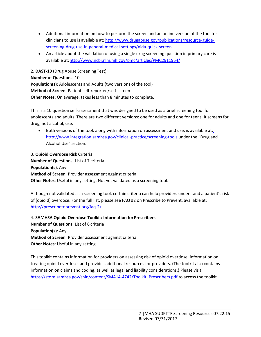- Additional information on how to perform the screen and an online version of the tool for clinicians to use is available at: [http://www.drugabuse.gov/publications/resource-guide](http://www.drugabuse.gov/publications/resource-guide-screening-drug-use-in-general-medical-settings/nida-quick-screen)[screening-drug-use-in-general-medical-settings/nida-quick-screen](http://www.drugabuse.gov/publications/resource-guide-screening-drug-use-in-general-medical-settings/nida-quick-screen)
- An article about the validation of using a single drug screening question in primary care is available at[:http://www.ncbi.nlm.nih.gov/pmc/articles/PMC2911954/](http://www.ncbi.nlm.nih.gov/pmc/articles/PMC2911954/)

2. **DAST-10** (Drug Abuse Screening Test) **Number of Questions**: 10 **Population(s)**: Adolescents and Adults (two versions of the tool) **Method of Screen**: Patient self-reported/self-screen **Other Notes**: On average, takes less than 8 minutes to complete.

This is a 10 question self-assessment that was designed to be used as a brief screening tool for adolescents and adults. There are two different versions: one for adults and one for teens. It screens for drug, not alcohol, use.

 Both versions of the tool, along with information on assessment and use, is available at[:](http://www.integration.samhsa.gov/clinical-practice/screening-tools) <http://www.integration.samhsa.gov/clinical-practice/screening-tools> under the "Drug and Alcohol Use" section.

3. **Opioid Overdose Risk Criteria** 

**Number of Questions**: List of 7 criteria **Population(s)**: Any **Method of Screen**: Provider assessment against criteria **Other Notes**: Useful in any setting. Not yet validated as a screening tool.

Although not validated as a screening tool, certain criteria can help providers understand a patient's risk of (opioid) overdose. For the full list, please see FAQ #2 on Prescribe to Prevent, available at: [http://prescribetoprevent.org/faq-2/.](http://prescribetoprevent.org/faq-2/)

4. **SAMHSA Opioid Overdose Toolkit: Information forPrescribers Number of Questions**: List of 6 criteria **Population(s)**: Any **Method of Screen**: Provider assessment against criteria **Other Notes**: Useful in any setting.

This toolkit contains information for providers on assessing risk of opioid overdose, information on treating opioid overdose, and provides additional resources for providers. (The toolkit also contains information on claims and coding, as well as legal and liability considerations.) Please visit: [https://store.samhsa.gov/shin/content/SMA14-4742/Toolkit\\_Prescribers.pdf](https://store.samhsa.gov/shin/content/SMA14-4742/Toolkit_Prescribers.pdf) to access the toolkit.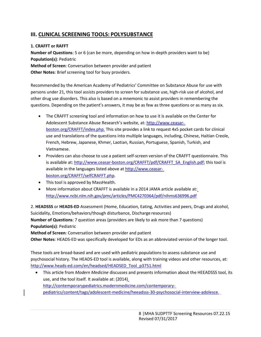## **III. CLINICAL SCREENING TOOLS: POLYSUBSTANCE**

#### **1. CRAFFT or RAFFT**

**Number of Questions**: 5 or 6 (can be more, depending on how in-depth providers want to be) **Population(s)**: Pediatric **Method of Screen**: Conversation between provider and patient **Other Notes**: Brief screening tool for busy providers.

Recommended by the American Academy of Pediatrics' Committee on Substance Abuse for use with persons under 21, this tool assists providers to screen for substance use, high-risk use of alcohol, and other drug use disorders. This also is based on a mnemonic to assist providers in remembering the questions. Depending on the patient's answers, it may be as few as three questions or as many as six.

- The CRAFFT screening tool and information on how to use it is available on the Center for Adolescent Substance Abuse Research's website, at: [http://www.ceasar](http://www.ceasar-boston.org/CRAFFT/index.php)[boston.org/CRAFFT/index.php.](http://www.ceasar-boston.org/CRAFFT/index.php) This site provides a link to request 4x5 pocket cards for clinical use and translations of the questions into multiple languages, including, Chinese, Haitian Creole, French, Hebrew, Japanese, Khmer, Laotian, Russian, Portuguese, Spanish, Turkish, and Vietnamese.
- Providers can also choose to use a patient self-screen version of the CRAFFT questionnaire. This is available at: [http://www.ceasar-boston.org/CRAFFT/pdf/CRAFFT\\_SA\\_English.pdf;](http://www.ceasar-boston.org/CRAFFT/pdf/CRAFFT_SA_English.pdf) this tool is available in the languages listed above at [http://www.ceasar](http://www.ceasar-boston.org/CRAFFT/selfCRAFFT.php)[boston.org/CRAFFT/selfCRAFFT.php.](http://www.ceasar-boston.org/CRAFFT/selfCRAFFT.php)
- This tool is approved by MassHealth.
- More information about CRAFFT is available in a 2014 JAMA article available at[:](http://www.ncbi.nlm.nih.gov/pmc/articles/PMC4270364/pdf/nihms636996.pdf) <http://www.ncbi.nlm.nih.gov/pmc/articles/PMC4270364/pdf/nihms636996.pdf>

2. **HEADSSS** or **HEADS-ED** Assessment (Home, Education, Eating, Activities and peers, Drugs and alcohol, Suicidality, Emotions/behaviors/though disturbance, Discharge resources)

**Number of Questions**: 7 question areas (providers are likely to ask more than 7 questions) **Population(s)**: Pediatric

**Method of Screen**: Conversation between provider and patient

**Other Notes**: HEADS-ED was specifically developed for EDs as an abbreviated version of the longer tool.

These tools are broad-based and are used with pediatric populations to assess substance use and psychosocial history. The HEADS-ED tool is available, along with training videos and other resources, at: [http://www.heads-ed.com/en/headsed/HEADSED\\_Tool\\_p3751.html](http://www.heads-ed.com/en/headsed/HEADSED_Tool_p3751.html)

 This article from *Modern Medicine* discusses and presents information about the HEEADSSS tool, its use, and the tool itself. It available at: (2014[\)](http://contemporarypediatrics.modernmedicine.com/contemporary-pediatrics/content/tags/adolescent-medicine/heeadsss-30-psychosocial-interview-adolesce) [http://contemporarypediatrics.modernmedicine.com/contemporary](http://contemporarypediatrics.modernmedicine.com/contemporary-pediatrics/content/tags/adolescent-medicine/heeadsss-30-psychosocial-interview-adolesce)[pediatrics/content/tags/adolescent-medicine/heeadsss-30-psychosocial-interview-adolesce.](http://contemporarypediatrics.modernmedicine.com/contemporary-pediatrics/content/tags/adolescent-medicine/heeadsss-30-psychosocial-interview-adolesce)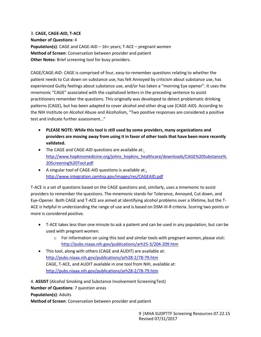3. **CAGE, CAGE-AID, T-ACE Number of Questions**: 4 **Population(s)**: CAGE and CAGE-AID – 16+ years; T-ACE – pregnant women **Method of Screen**: Conversation between provider and patient **Other Notes**: Brief screening tool for busy providers.

CAGE/CAGE-AID: CAGE is comprised of four, easy-to-remember questions relating to whether the patient needs to Cut down on substance use, has felt Annoyed by criticism about substance use, has experienced Guilty feelings about substance use, and/or has taken a "morning Eye opener". It uses the mnemonic "CAGE" associated with the capitalized letters in the preceding sentence to assist practitioners remember the questions. This originally was developed to detect problematic drinking patterns (CAGE), but has been adapted to cover alcohol and other drug use (CAGE-AID). According to the NIH Institute on Alcohol Abuse and Alcoholism, "Two positive responses are considered a positive test and indicate further assessment…"

- **PLEASE NOTE: While this tool is still used by some providers, many organizations and providers are moving away from using it in favor of other tools that have been more recently validated.**
- The CAGE and CAGE-AID questions are available at[:](http://www.hopkinsmedicine.org/johns_hopkins_healthcare/downloads/CAGE%20Substance%20Screening%20Tool.pdf) [http://www.hopkinsmedicine.org/johns\\_hopkins\\_healthcare/downloads/CAGE%20Substance%](http://www.hopkinsmedicine.org/johns_hopkins_healthcare/downloads/CAGE%20Substance%20Screening%20Tool.pdf) [20Screening%20Tool.pdf](http://www.hopkinsmedicine.org/johns_hopkins_healthcare/downloads/CAGE%20Substance%20Screening%20Tool.pdf)
- A singular tool of CAGE-AID questions is available at[:](http://www.integration.samhsa.gov/images/res/CAGEAID.pdf) <http://www.integration.samhsa.gov/images/res/CAGEAID.pdf>

T-ACE is a set of questions based on the CAGE questions and, similarly, uses a mnemonic to assist providers to remember the questions. The mnemonic stands for Tolerance, Annoyed, Cut down, and Eye-Opener. Both CAGE and T-ACE are aimed at identifying alcohol problems over a lifetime, but the T-ACE is helpful in understanding the range of use and is based on DSM-III-R criteria. Scoring two points or more is considered positive.

- T-ACE takes less than one minute to ask a patient and can be used in any population, but can be used with pregnant women.
	- o For information on using this tool and similar tools with pregnant women, please visit: <http://pubs.niaaa.nih.gov/publications/arh25-3/204-209.htm>
- This tool, along with others (CAGE and AUDIT) are available at[:](http://pubs.niaaa.nih.gov/publications/arh28-2/78-79.htm) <http://pubs.niaaa.nih.gov/publications/arh28-2/78-79.htm> CAGE, T-ACE, and AUDIT available in one tool from NIH, available at: <http://pubs.niaaa.nih.gov/publications/arh28-2/78-79.htm>

4. **ASSIST** (Alcohol Smoking and Substance Involvement ScreeningTest) **Number of Questions**: 7 question areas **Population(s)**: Adults **Method of Screen**: Conversation between provider and patient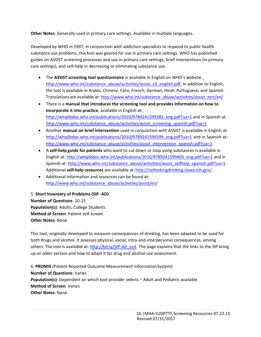**Other Notes**: Generally used in primary care settings. Available in multiple languages.

Developed by WHO in 1997, in conjunction with addiction specialists to respond to public health substance use problems, this tool was geared for use in primary care settings. WHO has published guides on ASSIST screening processes and use in primary care settings, brief interventions (in primary care settings), and self-help in decreasing or eliminating substance use.

- The **ASSIST screening tool questionnaire** is available in English on WHO's website[:](http://www.who.int/substance_abuse/activities/assist_v3_english.pdf) [http://www.who.int/substance\\_abuse/activities/assist\\_v3\\_english.pdf.](http://www.who.int/substance_abuse/activities/assist_v3_english.pdf) In addition to English, the tool is available in Arabic, Chinese, Farsi, French, German, Hindi, Portuguese, and Spanish. Translations are available at: [http://www.who.int/substance\\_abuse/activities/assist\\_test/en/](http://www.who.int/substance_abuse/activities/assist_test/en/)
- There is a **manual that introduces the screening tool and provides information on how to incorporate it into practice**, available in English at[:](http://whqlibdoc.who.int/publications/2010/9789241599382_eng.pdf?ua=1) [http://whqlibdoc.who.int/publications/2010/9789241599382\\_eng.pdf?ua=1](http://whqlibdoc.who.int/publications/2010/9789241599382_eng.pdf?ua=1) and in Spanish at[:](http://www.who.int/substance_abuse/activities/assist_screening_spanish.pdf?ua=1) [http://www.who.int/substance\\_abuse/activities/assist\\_screening\\_spanish.pdf?ua=1](http://www.who.int/substance_abuse/activities/assist_screening_spanish.pdf?ua=1)
- Another **manual on brief intervention** used in conjunction with ASSIST is available in English at[:](http://whqlibdoc.who.int/publications/2010/9789241599399_eng.pdf?ua=1) [http://whqlibdoc.who.int/publications/2010/9789241599399\\_eng.pdf?ua=1](http://whqlibdoc.who.int/publications/2010/9789241599399_eng.pdf?ua=1) and in Spanish at[:](http://www.who.int/substance_abuse/activities/assist_intervention_spanish.pdf?ua=1) [http://www.who.int/substance\\_abuse/activities/assist\\_intervention\\_spanish.pdf?ua=1](http://www.who.int/substance_abuse/activities/assist_intervention_spanish.pdf?ua=1)
- A **self-help guide for patients** who want to cut down or stop using substances is available in English at: [http://whqlibdoc.who.int/publications/2010/9789241599405\\_eng.pdf?ua=1](http://whqlibdoc.who.int/publications/2010/9789241599405_eng.pdf?ua=1) and in Spanish at: [http://www.who.int/substance\\_abuse/activities/assist\\_selfhelp\\_spanish.pdf?ua=1.](http://www.who.int/substance_abuse/activities/assist_selfhelp_spanish.pdf?ua=1) Additional **self-help resources** are available at: [http://rethinkingdrinking.niaaa.nih.gov/.](http://rethinkingdrinking.niaaa.nih.gov/)
- Additional information and resources can be found at[:](http://www.who.int/substance_abuse/activities/assist/en/) [http://www.who.int/substance\\_abuse/activities/assist/en/](http://www.who.int/substance_abuse/activities/assist/en/)

5. **Short Inventory of Problems (SIP -AD) Number of Questions**: 10-15 **Population(s)**: Adults, College Students **Method of Screen**: Patient self-screen **Other Notes**: None

This tool, originally developed to measure consequences of drinking, has been adapted to be used for both drugs and alcohol. It assesses physical, social, intra-and-interpersonal consequences, among others. The tool is available at: [http://bit.ly/SIP-AD\\_inst. T](http://bit.ly/SIP-AD_inst)he page explains that the links to the SIP bring up an older version and how to adapt it for drug and alcohol use assessment.

6. **PROMIS** (Patient Reported Outcome Measurement InformationSystem) **Number of Questions**: Varies **Population(s)**: Dependent on which tool provider selects – Adult and Pediatric available **Method of Screen**: Varies **Other Notes**: None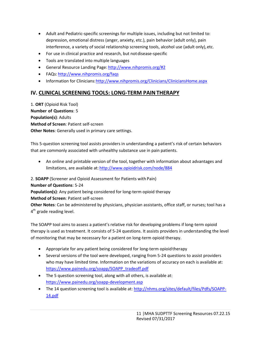- Adult and Pediatric-specific screenings for multiple issues, including but not limited to: depression, emotional distress (anger, anxiety, etc.), pain behavior (adult only), pain interference, a variety of social relationship screening tools, alcohol use (adult only), etc.
- For use in clinical practice and research, but notdisease-specific
- Tools are translated into multiple languages
- General Resource Landing Page: <http://www.nihpromis.org/#2>
- FAQs: <http://www.nihpromis.org/faqs>
- Information for Clinicians: http://www.nihpromis.org/Clinicians/CliniciansHome.aspx

#### **IV. CLINICAL SCREENING TOOLS: LONG-TERM PAINTHERAPY**

1. **ORT** (Opioid Risk Tool) **Number of Questions**: 5 **Population(s)**: Adults **Method of Screen**: Patient self-screen **Other Notes**: Generally used in primary care settings.

This 5-question screening tool assists providers in understanding a patient's risk of certain behaviors that are commonly associated with unhealthy substance use in pain patients.

 An online and printable version of the tool, together with information about advantages and limitations, are available at: <http://www.opioidrisk.com/node/884>

2. **SOAPP** (Screener and Opioid Assessment for Patients with Pain)

**Number of Questions**: 5-24

**Population(s)**: Any patient being considered for long-term opioid therapy

**Method of Screen**: Patient self-screen

**Other Notes**: Can be administered by physicians, physician assistants, office staff, or nurses; tool has a 4<sup>th</sup> grade reading level.

The SOAPP tool aims to assess a patient's relative risk for developing problems if long-term opioid therapy is used as treatment. It consists of 5-24 questions. It assists providers in understanding the level of monitoring that may be necessary for a patient on long-term opioid therapy.

- Appropriate for any patient being considered for long-term opioidtherapy
- Several versions of the tool were developed, ranging from 5-24 questions to assist providers who may have limited time. Information on the variations of accuracy on each is available at[:](https://www.painedu.org/soapp/SOAPP_tradeoff.pdf) [https://www.painedu.org/soapp/SOAPP\\_tradeoff.pdf](https://www.painedu.org/soapp/SOAPP_tradeoff.pdf)
- The 5 question screening tool, along with all others, is available at[:](https://www.painedu.org/soapp-development.asp) <https://www.painedu.org/soapp-development.asp>
- The 14 question screening tool is available at: [http://nhms.org/sites/default/files/Pdfs/SOAPP-](http://nhms.org/sites/default/files/Pdfs/SOAPP-14.pdf)[14.pdf](http://nhms.org/sites/default/files/Pdfs/SOAPP-14.pdf)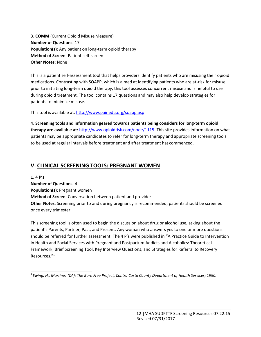3. **COMM** (Current Opioid Misuse Measure) **Number of Questions**: 17 **Population(s)**: Any patient on long-term opioid therapy **Method of Screen**: Patient self-screen **Other Notes**: None

This is a patient self-assessment tool that helps providers identify patients who are misusing their opioid medications. Contrasting with SOAPP, which is aimed at identifying patients who are at-risk for misuse prior to initiating long-term opioid therapy, this tool assesses concurrent misuse and is helpful to use during opioid treatment. The tool contains 17 questions and may also help develop strategies for patients to minimize misuse.

This tool is available at[: http://www.painedu.org/soapp.asp](http://www.painedu.org/soapp.asp)

4. **Screening tools and information geared towards patients being considers for long-term opioid therapy are available at**: [http://www.opioidrisk.com/node/1115.](http://www.opioidrisk.com/node/1115) This site provides information on what patients may be appropriate candidates to refer for long-term therapy and appropriate screening tools to be used at regular intervals before treatment and after treatment has commenced.

#### **V. CLINICAL SCREENING TOOLS: PREGNANT WOMEN**

**1. 4 P's**

**Number of Questions**: 4 **Population(s)**: Pregnant women **Method of Screen**: Conversation between patient and provider **Other Notes**: Screening prior to and during pregnancy is recommended; patients should be screened once every trimester.

This screening tool is often used to begin the discussion about drug or alcohol use, asking about the patient's Parents, Partner, Past, and Present. Any woman who answers yes to one or more questions should be referred for further assessment. The 4 P's were published in "A Practice Guide to Intervention in Health and Social Services with Pregnant and Postpartum Addicts and Alcoholics: Theoretical Framework, Brief Screening Tool, Key Interview Questions, and Strategies for Referral to Recovery Resources."<sup>1</sup>

<sup>1</sup>*Ewing, H., Martinez (CA): The Born Free Project, Contra Costa County Department of Health Services; 1990.*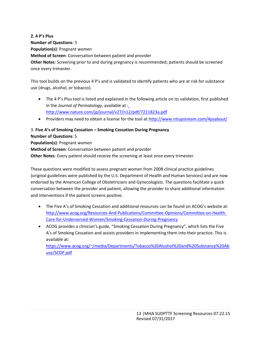**2. 4 P's Plus Number of Questions**: 5 **Population(s)**: Pregnant women **Method of Screen**: Conversation between patient and provider **Other Notes**: Screening prior to and during pregnancy is recommended; patients should be screened once every trimester.

This tool builds on the previous 4 P's and is validated to identify patients who are at risk for substance use (drugs, alcohol, or tobacco).

- The 4 P's Plus tool is listed and explained in the following article on its validation, first published in the *Journal of Perinatology*, available at [:](http://www.nature.com/jp/journal/v27/n12/pdf/7211823a.pdf) <http://www.nature.com/jp/journal/v27/n12/pdf/7211823a.pdf>
- Providers may need to obtain a license for the tool at: http://www.ntiupstream.com/4psabout/

## 3. **Five A's of Smoking Cessation – Smoking Cessation During Pregnancy**

**Number of Questions**: 5

**Population(s)**: Pregnant women

**Method of Screen**: Conversation between patient and provider

**Other Notes**: Every patient should receive the screening at least once every trimester.

These questions were modified to assess pregnant women from 2008 clinical practice guidelines (original guidelines were published by the U.S. Department of Health and Human Services) and are now endorsed by the American College of Obstetricians and Gynecologists. The questions facilitate a quick conversation between the provider and patient, allowing the provider to share additional information and interventions if the patient screens positive.

- The Five A's of Smoking Cessation and additional resources can be found on ACOG's website at[:](http://www.acog.org/Resources-And-Publications/Committee-Opinions/Committee-on-Health-Care-for-Underserved-Women/Smoking-Cessation-During-Pregnancy) [http://www.acog.org/Resources-And-Publications/Committee-Opinions/Committee-on-Health-](http://www.acog.org/Resources-And-Publications/Committee-Opinions/Committee-on-Health-Care-for-Underserved-Women/Smoking-Cessation-During-Pregnancy)[Care-for-Underserved-Women/Smoking-Cessation-During-Pregnancy](http://www.acog.org/Resources-And-Publications/Committee-Opinions/Committee-on-Health-Care-for-Underserved-Women/Smoking-Cessation-During-Pregnancy)
- ACOG provides a clinician's guide, "Smoking Cessation During Pregnancy", which lists the Five A's of Smoking Cessation and assists providers in implementing them into their practice. This is available at:

[https://www.acog.org/~/media/Departments/Tobacco%20Alcohol%20and%20Substance%20Ab](https://www.acog.org/~/media/Departments/Tobacco%20Alcohol%20and%20Substance%20Abuse/SCDP.pdf) [use/SCDP.pdf](https://www.acog.org/~/media/Departments/Tobacco%20Alcohol%20and%20Substance%20Abuse/SCDP.pdf)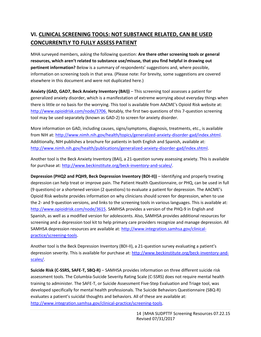# **VI. CLINICAL SCREENING TOOLS: NOT SUBSTANCE RELATED, CAN BE USED CONCURRENTLY TO FULLY ASSESS PATIENT**

MHA surveyed members, asking the following question: **Are there other screening tools or general resources, which aren't related to substance use/misuse, that you find helpful in drawing out pertinent information?** Below is a summary of respondents' suggestions and, where possible, information on screening tools in that area. (Please note: For brevity, some suggestions are covered elsewhere in this document and were not duplicated here.)

**Anxiety (GAD, GAD7, Beck Anxiety Inventory (BAI))** – This screening tool assesses a patient for generalized anxiety disorder, which is a manifestation of extreme worrying about everyday things when there is little or no basis for the worrying. This tool is available from AACME's Opioid Risk website at: [http://www.opioidrisk.com/node/3706.](http://www.opioidrisk.com/node/3706) Notably, the first two questions of this 7-question screening tool may be used separately (known as GAD-2) to screen for anxiety disorder.

More information on GAD, including causes, signs/symptoms, diagnosis, treatments, etc., is available from NIH at: [http://www.nimh.nih.gov/health/topics/generalized-anxiety-disorder-gad/index.shtml.](http://www.nimh.nih.gov/health/topics/generalized-anxiety-disorder-gad/index.shtml) Additionally, NIH publishes a brochure for patients in both English and Spanish, available at: [http://www.nimh.nih.gov/health/publications/generalized-anxiety-disorder-gad/index.shtml.](http://www.nimh.nih.gov/health/publications/generalized-anxiety-disorder-gad/index.shtml)

Another tool is the Beck Anxiety Inventory (BAI), a 21-question survey assessing anxiety. This is available for purchase at: [http://www.beckinstitute.org/beck-inventory-and-scales/.](http://www.beckinstitute.org/beck-inventory-and-scales/)

**Depression (PHQ2 and PQH9, Beck Depression Inventory (BDI-II))** – Identifying and properly treating depression can help treat or improve pain. The Patient Health Questionnaire, or PHQ, can be used in full (9 questions) or a shortened version (2 questions) to evaluate a patient for depression. The AACME's Opioid Risk website provides information on why clinicians should screen for depression, when to use the 2- and 9-question versions, and links to the screening tools in various languages. This is available at: [http://www.opioidrisk.com/node/3615.](http://www.opioidrisk.com/node/3615) SAMHSA provides a version of the PHQ-9 in English and Spanish, as well as a modified version for adolescents. Also, SAMHSA provides additional resources for screening and a depression tool kit to help primary care providers recognize and manage depression. All SAMHSA depression resources are available at[: http://www.integration.samhsa.gov/clinical](http://www.integration.samhsa.gov/clinical-practice/screening-tools)[practice/screening-tools.](http://www.integration.samhsa.gov/clinical-practice/screening-tools)

Another tool is the Beck Depression Inventory (BDI-II), a 21-question survey evaluating a patient's depression severity. This is available for purchase at: [http://www.beckinstitute.org/beck-inventory-and](http://www.beckinstitute.org/beck-inventory-and-scales/)[scales/.](http://www.beckinstitute.org/beck-inventory-and-scales/)

**Suicide Risk (C-SSRS, SAFE-T, SBQ-R)** – SAMHSA provides information on three different suicide risk assessment tools. The Columbia-Suicide Severity Rating Scale (C-SSRS) does not require mental health training to administer. The SAFE-T, or Suicide Assessment Five-Step Evaluation and Triage tool, was developed specifically for mental health professionals. The Suicide Behaviors Questionnaire (SBQ-R) evaluates a patient's suicidal thoughts and behaviors. All of these are available at: [http://www.integration.samhsa.gov/clinical-practice/screening-tools.](http://www.integration.samhsa.gov/clinical-practice/screening-tools)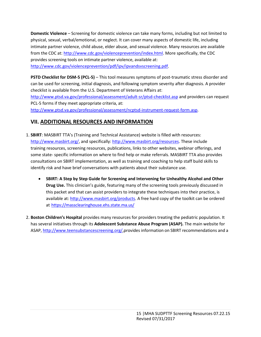**Domestic Violence** – Screening for domestic violence can take many forms, including but not limited to physical, sexual, verbal/emotional, or neglect. It can cover many aspects of domestic life, including intimate partner violence, child abuse, elder abuse, and sexual violence. Many resources are available from the CDC at: [http://www.cdc.gov/violenceprevention/index.html.](http://www.cdc.gov/violenceprevention/index.html) More specifically, the CDC provides screening tools on intimate partner violence, available at: [http://www.cdc.gov/violenceprevention/pdf/ipv/ipvandsvscreening.pdf.](http://www.cdc.gov/violenceprevention/pdf/ipv/ipvandsvscreening.pdf)

**PSTD Checklist for DSM-5 (PCL-5)** – This tool measures symptoms of post-traumatic stress disorder and can be used for screening, initial diagnosis, and following symptom severity after diagnosis. A provider checklist is available from the U.S. Department of Veterans Affairs at:

<http://www.ptsd.va.gov/professional/assessment/adult-sr/ptsd-checklist.asp> and providers can request PCL-5 forms if they meet appropriate criteria, at: [http://www.ptsd.va.gov/professional/assessment/ncptsd-instrument-request-form.asp.](http://www.ptsd.va.gov/professional/assessment/ncptsd-instrument-request-form.asp)

## **VII. ADDITIONAL RESOURCES AND INFORMATION**

- 1. **SBIRT**: MASBIRT TTA's (Training and Technical Assistance) website is filled with resources: [http://www.masbirt.org/, a](http://www.masbirt.org/)nd specifically: [http://www.masbirt.org/resources.](http://www.masbirt.org/resources) These include training resources, screening resources, publications, links to other websites, webinar offerings, and some state- specific information on where to find help or make referrals. MASBIRT TTA also provides consultations on SBIRT implementation, as well as training and coaching to help staff build skills to identify risk and have brief conversations with patients about their substance use.
	- **SBIRT: A Step by Step Guide for Screening and Intervening for Unhealthy Alcohol and Other Drug Use.** This clinician's guide, featuring many of the screening tools previously discussed in this packet and that can assist providers to integrate these techniques into their practice, is available at: [http://www.masbirt.org/products.](http://www.masbirt.org/products) A free hard copy of the toolkit can be ordered at <https://massclearinghouse.ehs.state.ma.us/>
- 2. **Boston Children's Hospital** provides many resources for providers treating the pediatric population. It has several initiatives through its **Adolescent Substance Abuse Program (ASAP).** The main website for ASAP, [http://www.teensubstancescreening.org/,](http://www.teensubstancescreening.org/)provides information on SBIRT recommendations and a